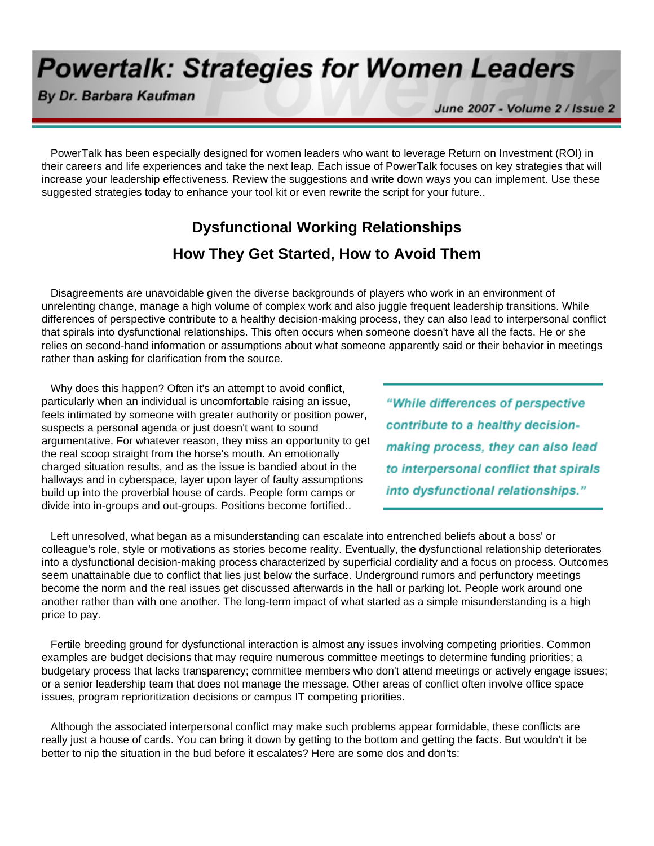# **Powertalk: Strategies for Women Leaders**

By Dr. Barbara Kaufman

June 2007 - Volume 2 / Issue 2

 PowerTalk has been especially designed for women leaders who want to leverage Return on Investment (ROI) in their careers and life experiences and take the next leap. Each issue of PowerTalk focuses on key strategies that will increase your leadership effectiveness. Review the suggestions and write down ways you can implement. Use these suggested strategies today to enhance your tool kit or even rewrite the script for your future..

## **Dysfunctional Working Relationships How They Get Started, How to Avoid Them**

 Disagreements are unavoidable given the diverse backgrounds of players who work in an environment of unrelenting change, manage a high volume of complex work and also juggle frequent leadership transitions. While differences of perspective contribute to a healthy decision-making process, they can also lead to interpersonal conflict that spirals into dysfunctional relationships. This often occurs when someone doesn't have all the facts. He or she relies on second-hand information or assumptions about what someone apparently said or their behavior in meetings rather than asking for clarification from the source.

 Why does this happen? Often it's an attempt to avoid conflict, particularly when an individual is uncomfortable raising an issue, feels intimated by someone with greater authority or position power, suspects a personal agenda or just doesn't want to sound argumentative. For whatever reason, they miss an opportunity to get the real scoop straight from the horse's mouth. An emotionally charged situation results, and as the issue is bandied about in the hallways and in cyberspace, layer upon layer of faulty assumptions build up into the proverbial house of cards. People form camps or divide into in-groups and out-groups. Positions become fortified..

"While differences of perspective contribute to a healthy decisionmaking process, they can also lead to interpersonal conflict that spirals into dysfunctional relationships."

 Left unresolved, what began as a misunderstanding can escalate into entrenched beliefs about a boss' or colleague's role, style or motivations as stories become reality. Eventually, the dysfunctional relationship deteriorates into a dysfunctional decision-making process characterized by superficial cordiality and a focus on process. Outcomes seem unattainable due to conflict that lies just below the surface. Underground rumors and perfunctory meetings become the norm and the real issues get discussed afterwards in the hall or parking lot. People work around one another rather than with one another. The long-term impact of what started as a simple misunderstanding is a high price to pay.

 Fertile breeding ground for dysfunctional interaction is almost any issues involving competing priorities. Common examples are budget decisions that may require numerous committee meetings to determine funding priorities; a budgetary process that lacks transparency; committee members who don't attend meetings or actively engage issues; or a senior leadership team that does not manage the message. Other areas of conflict often involve office space issues, program reprioritization decisions or campus IT competing priorities.

 Although the associated interpersonal conflict may make such problems appear formidable, these conflicts are really just a house of cards. You can bring it down by getting to the bottom and getting the facts. But wouldn't it be better to nip the situation in the bud before it escalates? Here are some dos and don'ts: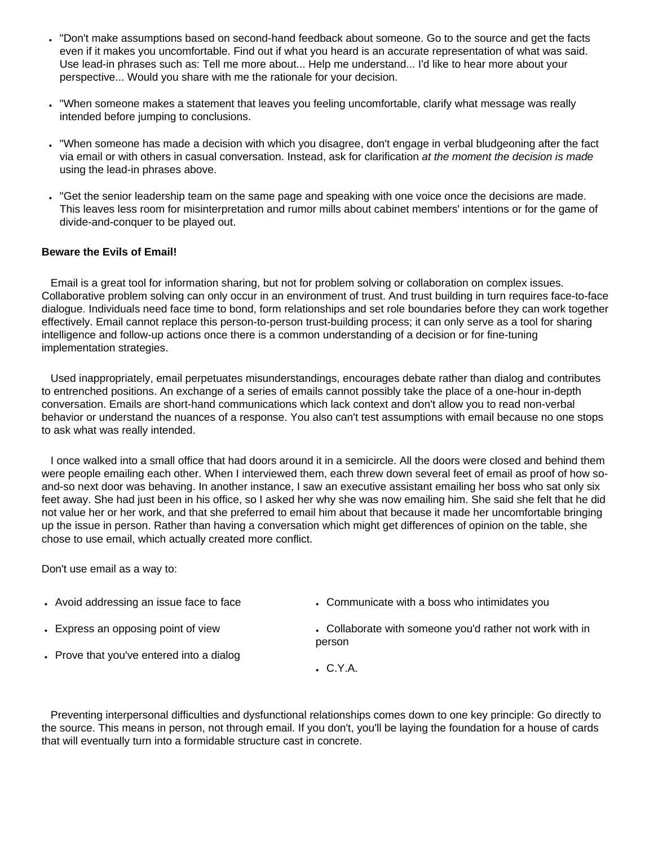- "Don't make assumptions based on second-hand feedback about someone. Go to the source and get the facts even if it makes you uncomfortable. Find out if what you heard is an accurate representation of what was said. Use lead-in phrases such as: Tell me more about... Help me understand... I'd like to hear more about your perspective... Would you share with me the rationale for your decision.
- "When someone makes a statement that leaves you feeling uncomfortable, clarify what message was really intended before jumping to conclusions.
- "When someone has made a decision with which you disagree, don't engage in verbal bludgeoning after the fact via email or with others in casual conversation. Instead, ask for clarification *at the moment the decision is made* using the lead-in phrases above.
- "Get the senior leadership team on the same page and speaking with one voice once the decisions are made. This leaves less room for misinterpretation and rumor mills about cabinet members' intentions or for the game of divide-and-conquer to be played out.

### **Beware the Evils of Email!**

 Email is a great tool for information sharing, but not for problem solving or collaboration on complex issues. Collaborative problem solving can only occur in an environment of trust. And trust building in turn requires face-to-face dialogue. Individuals need face time to bond, form relationships and set role boundaries before they can work together effectively. Email cannot replace this person-to-person trust-building process; it can only serve as a tool for sharing intelligence and follow-up actions once there is a common understanding of a decision or for fine-tuning implementation strategies.

 Used inappropriately, email perpetuates misunderstandings, encourages debate rather than dialog and contributes to entrenched positions. An exchange of a series of emails cannot possibly take the place of a one-hour in-depth conversation. Emails are short-hand communications which lack context and don't allow you to read non-verbal behavior or understand the nuances of a response. You also can't test assumptions with email because no one stops to ask what was really intended.

 I once walked into a small office that had doors around it in a semicircle. All the doors were closed and behind them were people emailing each other. When I interviewed them, each threw down several feet of email as proof of how soand-so next door was behaving. In another instance, I saw an executive assistant emailing her boss who sat only six feet away. She had just been in his office, so I asked her why she was now emailing him. She said she felt that he did not value her or her work, and that she preferred to email him about that because it made her uncomfortable bringing up the issue in person. Rather than having a conversation which might get differences of opinion on the table, she chose to use email, which actually created more conflict.

Don't use email as a way to:

- Avoid addressing an issue face to face
- Communicate with a boss who intimidates you

• Express an opposing point of view

- Collaborate with someone you'd rather not work with in
- Prove that you've entered into a dialog
- $C.Y.A.$

person

 Preventing interpersonal difficulties and dysfunctional relationships comes down to one key principle: Go directly to the source. This means in person, not through email. If you don't, you'll be laying the foundation for a house of cards that will eventually turn into a formidable structure cast in concrete.